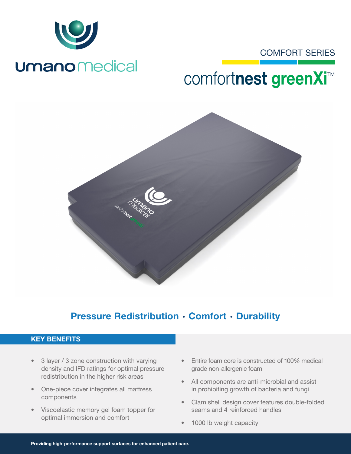

# COMFORT SERIES

# comfortnest greenXi<sup>™</sup>



# Pressure Redistribution · Comfort · Durability

### KEY BENEFITS

- 3 layer / 3 zone construction with varying density and IFD ratings for optimal pressure redistribution in the higher risk areas
- One-piece cover integrates all mattress components
- Viscoelastic memory gel foam topper for optimal immersion and comfort
- Entire foam core is constructed of 100% medical grade non-allergenic foam
- All components are anti-microbial and assist in prohibiting growth of bacteria and fungi
- Clam shell design cover features double-folded seams and 4 reinforced handles
- 1000 lb weight capacity